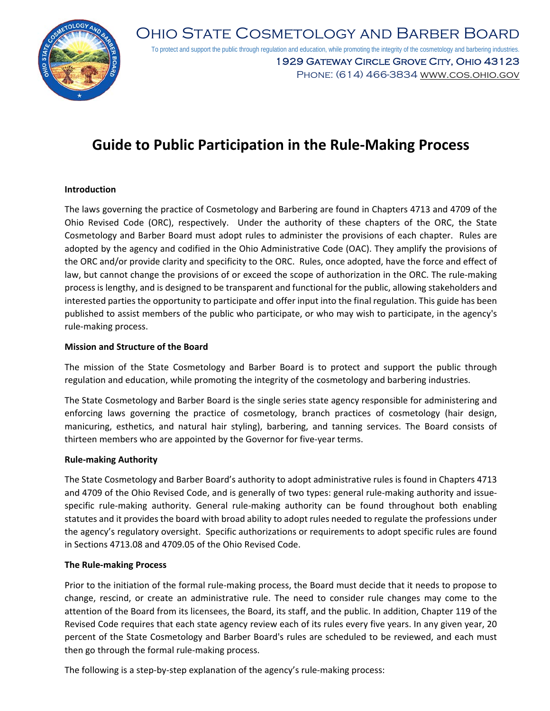

Ohio State Cosmetology and Barber Board To protect and support the public through regulation and education, while promoting the integrity of the cosmetology and barbering industries. 1929 Gateway Circle Grove City, Ohio 43123 Phone: (614) 466-3834 www.cos.ohio.gov

# **Guide to Public Participation in the Rule‐Making Process**

# **Introduction**

The laws governing the practice of Cosmetology and Barbering are found in Chapters 4713 and 4709 of the Ohio Revised Code (ORC), respectively. Under the authority of these chapters of the ORC, the State Cosmetology and Barber Board must adopt rules to administer the provisions of each chapter. Rules are adopted by the agency and codified in the Ohio Administrative Code (OAC). They amplify the provisions of the ORC and/or provide clarity and specificity to the ORC. Rules, once adopted, have the force and effect of law, but cannot change the provisions of or exceed the scope of authorization in the ORC. The rule‐making process is lengthy, and is designed to be transparent and functional for the public, allowing stakeholders and interested parties the opportunity to participate and offer input into the final regulation. This guide has been published to assist members of the public who participate, or who may wish to participate, in the agency's rule‐making process.

### **Mission and Structure of the Board**

The mission of the State Cosmetology and Barber Board is to protect and support the public through regulation and education, while promoting the integrity of the cosmetology and barbering industries.

The State Cosmetology and Barber Board is the single series state agency responsible for administering and enforcing laws governing the practice of cosmetology, branch practices of cosmetology (hair design, manicuring, esthetics, and natural hair styling), barbering, and tanning services. The Board consists of thirteen members who are appointed by the Governor for five‐year terms.

#### **Rule‐making Authority**

The State Cosmetology and Barber Board's authority to adopt administrative rules is found in Chapters 4713 and 4709 of the Ohio Revised Code, and is generally of two types: general rule-making authority and issuespecific rule-making authority. General rule-making authority can be found throughout both enabling statutes and it provides the board with broad ability to adopt rules needed to regulate the professions under the agency's regulatory oversight. Specific authorizations or requirements to adopt specific rules are found in Sections 4713.08 and 4709.05 of the Ohio Revised Code.

#### **The Rule‐making Process**

Prior to the initiation of the formal rule‐making process, the Board must decide that it needs to propose to change, rescind, or create an administrative rule. The need to consider rule changes may come to the attention of the Board from its licensees, the Board, its staff, and the public. In addition, Chapter 119 of the Revised Code requires that each state agency review each of its rules every five years. In any given year, 20 percent of the State Cosmetology and Barber Board's rules are scheduled to be reviewed, and each must then go through the formal rule‐making process.

The following is a step-by-step explanation of the agency's rule-making process: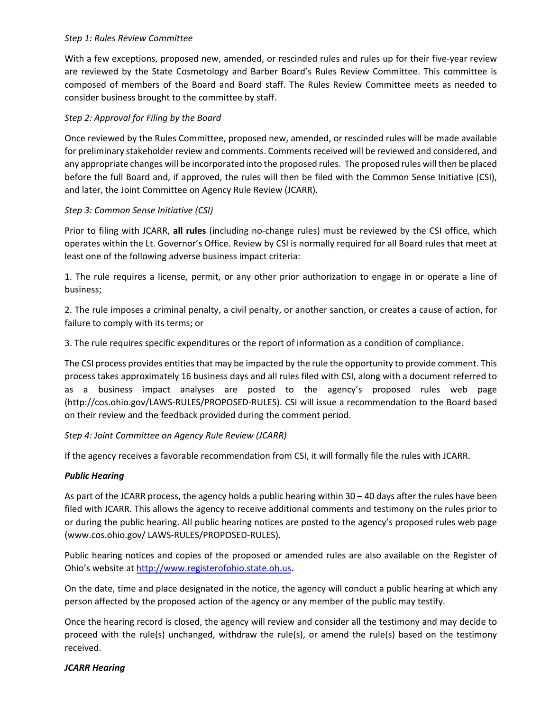## *Step 1: Rules Review Committee*

With a few exceptions, proposed new, amended, or rescinded rules and rules up for their five‐year review are reviewed by the State Cosmetology and Barber Board's Rules Review Committee. This committee is composed of members of the Board and Board staff. The Rules Review Committee meets as needed to consider business brought to the committee by staff.

# *Step 2: Approval for Filing by the Board*

Once reviewed by the Rules Committee, proposed new, amended, or rescinded rules will be made available for preliminary stakeholder review and comments. Comments received will be reviewed and considered, and any appropriate changes will be incorporated into the proposed rules. The proposed rules will then be placed before the full Board and, if approved, the rules will then be filed with the Common Sense Initiative (CSI), and later, the Joint Committee on Agency Rule Review (JCARR).

# *Step 3: Common Sense Initiative (CSI)*

Prior to filing with JCARR, **all rules** (including no‐change rules) must be reviewed by the CSI office, which operates within the Lt. Governor's Office. Review by CSI is normally required for all Board rules that meet at least one of the following adverse business impact criteria:

1. The rule requires a license, permit, or any other prior authorization to engage in or operate a line of business;

2. The rule imposes a criminal penalty, a civil penalty, or another sanction, or creates a cause of action, for failure to comply with its terms; or

3. The rule requires specific expenditures or the report of information as a condition of compliance.

The CSI process provides entities that may be impacted by the rule the opportunity to provide comment. This process takes approximately 16 business days and all rules filed with CSI, along with a document referred to as a business impact analyses are posted to the agency's proposed rules web page (http://cos.ohio.gov/LAWS‐RULES/PROPOSED‐RULES). CSI will issue a recommendation to the Board based on their review and the feedback provided during the comment period.

# *Step 4: Joint Committee on Agency Rule Review (JCARR)*

If the agency receives a favorable recommendation from CSI, it will formally file the rules with JCARR.

# *Public Hearing*

As part of the JCARR process, the agency holds a public hearing within 30 – 40 days after the rules have been filed with JCARR. This allows the agency to receive additional comments and testimony on the rules prior to or during the public hearing. All public hearing notices are posted to the agency's proposed rules web page (www.cos.ohio.gov/ LAWS‐RULES/PROPOSED‐RULES).

Public hearing notices and copies of the proposed or amended rules are also available on the Register of Ohio's website at http://www.registerofohio.state.oh.us.

On the date, time and place designated in the notice, the agency will conduct a public hearing at which any person affected by the proposed action of the agency or any member of the public may testify.

Once the hearing record is closed, the agency will review and consider all the testimony and may decide to proceed with the rule(s) unchanged, withdraw the rule(s), or amend the rule(s) based on the testimony received.

# *JCARR Hearing*